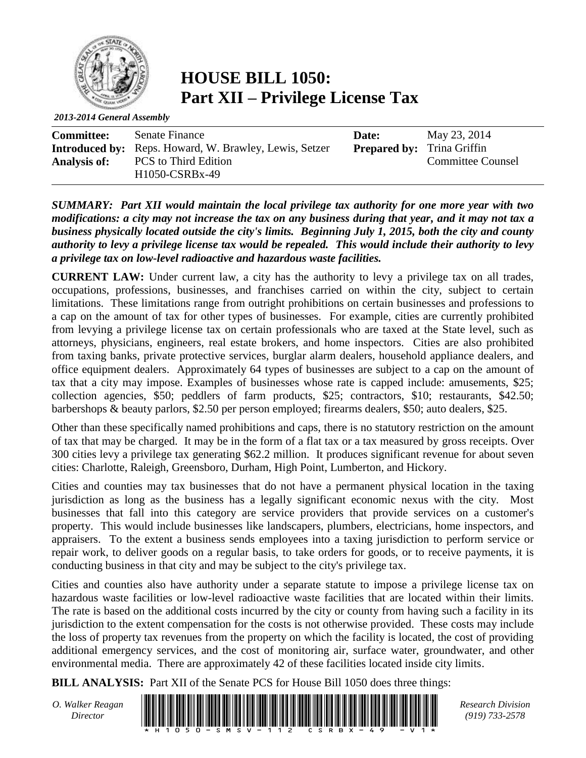

**HOUSE BILL 1050: Part XII – Privilege License Tax**

*2013-2014 General Assembly*

| <b>Committee:</b>   | Senate Finance                                                | Date:                             | May 23, 2014             |
|---------------------|---------------------------------------------------------------|-----------------------------------|--------------------------|
|                     | <b>Introduced by:</b> Reps. Howard, W. Brawley, Lewis, Setzer | <b>Prepared by:</b> Trina Griffin |                          |
| <b>Analysis of:</b> | <b>PCS</b> to Third Edition                                   |                                   | <b>Committee Counsel</b> |
|                     | H <sub>1050</sub> -CSRB <sub>x</sub> -49                      |                                   |                          |

*SUMMARY: Part XII would maintain the local privilege tax authority for one more year with two modifications: a city may not increase the tax on any business during that year, and it may not tax a business physically located outside the city's limits. Beginning July 1, 2015, both the city and county authority to levy a privilege license tax would be repealed. This would include their authority to levy a privilege tax on low-level radioactive and hazardous waste facilities.* 

**CURRENT LAW:** Under current law, a city has the authority to levy a privilege tax on all trades, occupations, professions, businesses, and franchises carried on within the city, subject to certain limitations. These limitations range from outright prohibitions on certain businesses and professions to a cap on the amount of tax for other types of businesses. For example, cities are currently prohibited from levying a privilege license tax on certain professionals who are taxed at the State level, such as attorneys, physicians, engineers, real estate brokers, and home inspectors. Cities are also prohibited from taxing banks, private protective services, burglar alarm dealers, household appliance dealers, and office equipment dealers. Approximately 64 types of businesses are subject to a cap on the amount of tax that a city may impose. Examples of businesses whose rate is capped include: amusements, \$25; collection agencies, \$50; peddlers of farm products, \$25; contractors, \$10; restaurants, \$42.50; barbershops & beauty parlors, \$2.50 per person employed; firearms dealers, \$50; auto dealers, \$25.

Other than these specifically named prohibitions and caps, there is no statutory restriction on the amount of tax that may be charged. It may be in the form of a flat tax or a tax measured by gross receipts. Over 300 cities levy a privilege tax generating \$62.2 million. It produces significant revenue for about seven cities: Charlotte, Raleigh, Greensboro, Durham, High Point, Lumberton, and Hickory.

Cities and counties may tax businesses that do not have a permanent physical location in the taxing jurisdiction as long as the business has a legally significant economic nexus with the city. Most businesses that fall into this category are service providers that provide services on a customer's property. This would include businesses like landscapers, plumbers, electricians, home inspectors, and appraisers. To the extent a business sends employees into a taxing jurisdiction to perform service or repair work, to deliver goods on a regular basis, to take orders for goods, or to receive payments, it is conducting business in that city and may be subject to the city's privilege tax.

Cities and counties also have authority under a separate statute to impose a privilege license tax on hazardous waste facilities or low-level radioactive waste facilities that are located within their limits. The rate is based on the additional costs incurred by the city or county from having such a facility in its jurisdiction to the extent compensation for the costs is not otherwise provided. These costs may include the loss of property tax revenues from the property on which the facility is located, the cost of providing additional emergency services, and the cost of monitoring air, surface water, groundwater, and other environmental media. There are approximately 42 of these facilities located inside city limits.

**BILL ANALYSIS:** Part XII of the Senate PCS for House Bill 1050 does three things:

*O. Walker Reagan*



*(919) 733-2578*